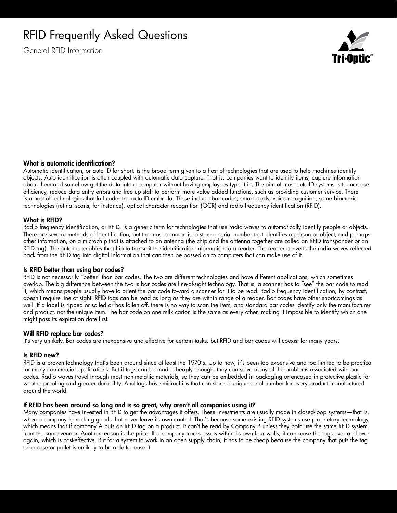# RFID Frequently Asked Questions

General RFID Information



## What is automatic identification?

Automatic identification, or auto ID for short, is the broad term given to a host of technologies that are used to help machines identify objects. Auto identification is often coupled with automatic data capture. That is, companies want to identify items, capture information about them and somehow get the data into a computer without having employees type it in. The aim of most auto-ID systems is to increase efficiency, reduce data entry errors and free up staff to perform more value-added functions, such as providing customer service. There is a host of technologies that fall under the auto-ID umbrella. These include bar codes, smart cards, voice recognition, some biometric technologies (retinal scans, for instance), optical character recognition (OCR) and radio frequency identification (RFID).

## What is RFID?

Radio frequency identification, or RFID, is a generic term for technologies that use radio waves to automatically identify people or objects. There are several methods of identification, but the most common is to store a serial number that identifies a person or object, and perhaps other information, on a microchip that is attached to an antenna (the chip and the antenna together are called an RFID transponder or an RFID tag). The antenna enables the chip to transmit the identification information to a reader. The reader converts the radio waves reflected back from the RFID tag into digital information that can then be passed on to computers that can make use of it.

#### Is RFID better than using bar codes?

RFID is not necessarily "better" than bar codes. The two are different technologies and have different applications, which sometimes overlap. The big difference between the two is bar codes are line-of-sight technology. That is, a scanner has to "see" the bar code to read it, which means people usually have to orient the bar code toward a scanner for it to be read. Radio frequency identification, by contrast, doesn't require line of sight. RFID tags can be read as long as they are within range of a reader. Bar codes have other shortcomings as well. If a label is ripped or soiled or has fallen off, there is no way to scan the item, and standard bar codes identify only the manufacturer and product, not the unique item. The bar code on one milk carton is the same as every other, making it impossible to identify which one might pass its expiration date first.

#### Will RFID replace bar codes?

It's very unlikely. Bar codes are inexpensive and effective for certain tasks, but RFID and bar codes will coexist for many years.

#### Is RFID new?

RFID is a proven technology that's been around since at least the 1970's. Up to now, it's been too expensive and too limited to be practical for many commercial applications. But if tags can be made cheaply enough, they can solve many of the problems associated with bar codes. Radio waves travel through most non-metallic materials, so they can be embedded in packaging or encased in protective plastic for weatherproofing and greater durability. And tags have microchips that can store a unique serial number for every product manufactured around the world.

# If RFID has been around so long and is so great, why aren't all companies using it?

Many companies have invested in RFID to get the advantages it offers. These investments are usually made in closed-loop systems—that is, when a company is tracking goods that never leave its own control. That's because some existing RFID systems use proprietary technology, which means that if company A puts an RFID tag on a product, it can't be read by Company B unless they both use the same RFID system from the same vendor. Another reason is the price. If a company tracks assets within its own four walls, it can reuse the tags over and over again, which is cost-effective. But for a system to work in an open supply chain, it has to be cheap because the company that puts the tag on a case or pallet is unlikely to be able to reuse it.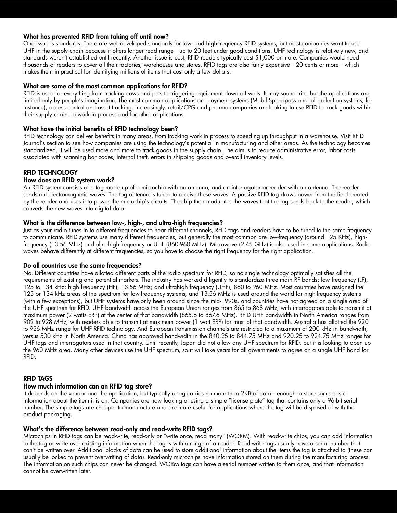# What has prevented RFID from taking off until now?

One issue is standards. There are well-developed standards for low- and high-frequency RFID systems, but most companies want to use UHF in the supply chain because it offers longer read range—up to 20 feet under good conditions. UHF technology is relatively new, and standards weren't established until recently. Another issue is cost. RFID readers typically cost \$1,000 or more. Companies would need thousands of readers to cover all their factories, warehouses and stores. RFID tags are also fairly expensive—20 cents or more—which makes them impractical for identifying millions of items that cost only a few dollars.

# What are some of the most common applications for RFID?

RFID is used for everything from tracking cows and pets to triggering equipment down oil wells. It may sound trite, but the applications are limited only by people's imagination. The most common applications are payment systems (Mobil Speedpass and toll collection systems, for instance), access control and asset tracking. Increasingly, retail/CPG and pharma companies are looking to use RFID to track goods within their supply chain, to work in process and for other applications.

# What have the initial benefits of RFID technology been?

RFID technology can deliver benefits in many areas, from tracking work in process to speeding up throughput in a warehouse. Visit RFID Journal's section to see how companies are using the technology's potential in manufacturing and other areas. As the technology becomes standardized, it will be used more and more to track goods in the supply chain. The aim is to reduce administrative error, labor costs associated with scanning bar codes, internal theft, errors in shipping goods and overall inventory levels.

# RFID TECHNOLOGY

## How does an RFID system work?

An RFID system consists of a tag made up of a microchip with an antenna, and an interrogator or reader with an antenna. The reader sends out electromagnetic waves. The tag antenna is tuned to receive these waves. A passive RFID tag draws power from the field created by the reader and uses it to power the microchip's circuits. The chip then modulates the waves that the tag sends back to the reader, which converts the new waves into digital data.

## What is the difference between low-, high-, and ultra-high frequencies?

Just as your radio tunes in to different frequencies to hear different channels, RFID tags and readers have to be tuned to the same frequency to communicate. RFID systems use many different frequencies, but generally the most common are low-frequency (around 125 KHz), highfrequency (13.56 MHz) and ultra-high-frequency or UHF (860-960 MHz). Microwave (2.45 GHz) is also used in some applications. Radio waves behave differently at different frequencies, so you have to choose the right frequency for the right application.

# Do all countries use the same frequencies?

No. Different countries have allotted different parts of the radio spectrum for RFID, so no single technology optimally satisfies all the requirements of existing and potential markets. The industry has worked diligently to standardize three main RF bands: low frequency (LF), 125 to 134 kHz; high frequency (HF), 13.56 MHz; and ultrahigh frequency (UHF), 860 to 960 MHz. Most countries have assigned the 125 or 134 kHz areas of the spectrum for low-frequency systems, and 13.56 MHz is used around the world for high-frequency systems (with a few exceptions), but UHF systems have only been around since the mid-1990s, and countries have not agreed on a single area of the UHF spectrum for RFID. UHF bandwidth across the European Union ranges from 865 to 868 MHz, with interrogators able to transmit at maximum power (2 watts ERP) at the center of that bandwidth (865.6 to 867.6 MHz). RFID UHF bandwidth in North America ranges from 902 to 928 MHz, with readers able to transmit at maximum power (1 watt ERP) for most of that bandwidth. Australia has allotted the 920 to 926 MHz range for UHF RFID technology. And European transmission channels are restricted to a maximum of 200 kHz in bandwidth, versus 500 kHz in North America. China has approved bandwidth in the 840.25 to 844.75 MHz and 920.25 to 924.75 MHz ranges for UHF tags and interrogators used in that country. Until recently, Japan did not allow any UHF spectrum for RFID, but it is looking to open up the 960 MHz area. Many other devices use the UHF spectrum, so it will take years for all governments to agree on a single UHF band for RFID.

#### RFID TAGS

# How much information can an RFID tag store?

It depends on the vendor and the application, but typically a tag carries no more than 2KB of data—enough to store some basic information about the item it is on. Companies are now looking at using a simple "license plate" tag that contains only a 96-bit serial number. The simple tags are cheaper to manufacture and are more useful for applications where the tag will be disposed of with the product packaging.

#### What's the difference between read-only and read-write RFID tags?

Microchips in RFID tags can be read-write, read-only or "write once, read many" (WORM). With read-write chips, you can add information to the tag or write over existing information when the tag is within range of a reader. Read-write tags usually have a serial number that can't be written over. Additional blocks of data can be used to store additional information about the items the tag is attached to (these can usually be locked to prevent overwriting of data). Read-only microchips have information stored on them during the manufacturing process. The information on such chips can never be changed. WORM tags can have a serial number written to them once, and that information cannot be overwritten later.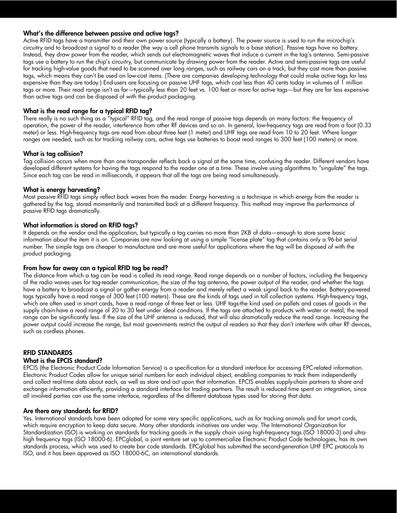# What's the difference between passive and active tags?

Active RFID tags have a transmitter and their own power source (typically a battery). The power source is used to run the microchip's circuitry and to broadcast a signal to a reader (the way a cell phone transmits signals to a base station). Passive tags have no battery. Instead, they draw power from the reader, which sends out electromagnetic waves that induce a current in the tag's antenna. Semi-passive tags use a battery to run the chip's circuitry, but communicate by drawing power from the reader. Active and semi-passive tags are useful for tracking high-value goods that need to be scanned over long ranges, such as railway cars on a track, but they cost more than passive tags, which means they can't be used on low-cost items. (There are companies developing technology that could make active tags far less expensive than they are today.) End-users are focusing on passive UHF tags, which cost less than 40 cents today in volumes of 1 million tags or more. Their read range isn't as far—typically less than 20 feet vs. 100 feet or more for active tags—but they are far less expensive than active tags and can be disposed of with the product packaging.

# What is the read range for a typical RFID tag?

There really is no such thing as a "typical" RFID tag, and the read range of passive tags depends on many factors: the frequency of operation, the power of the reader, interference from other RF devices and so on. In general, low-frequency tags are read from a foot (0.33 meter) or less. High-frequency tags are read from about three feet (1 meter) and UHF tags are read from 10 to 20 feet. Where longer ranges are needed, such as for tracking railway cars, active tags use batteries to boost read ranges to 300 feet (100 meters) or more.

# What is tag collision?

Tag collision occurs when more than one transponder reflects back a signal at the same time, confusing the reader. Different vendors have developed different systems for having the tags respond to the reader one at a time. These involve using algorithms to "singulate" the tags. Since each tag can be read in milliseconds, it appears that all the tags are being read simultaneously.

# What is energy harvesting?

Most passive RFID tags simply reflect back waves from the reader. Energy harvesting is a technique in which energy from the reader is gathered by the tag, stored momentarily and transmitted back at a different frequency. This method may improve the performance of passive RFID tags dramatically.

# What information is stored on RFID tags?

It depends on the vendor and the application, but typically a tag carries no more than 2KB of data—enough to store some basic information about the item it is on. Companies are now looking at using a simple "license plate" tag that contains only a 96-bit serial number. The simple tags are cheaper to manufacture and are more useful for applications where the tag will be disposed of with the product packaging.

# From how far away can a typical RFID tag be read?

The distance from which a tag can be read is called its read range. Read range depends on a number of factors, including the frequency of the radio waves uses for tag-reader communication, the size of the tag antenna, the power output of the reader, and whether the tags have a battery to broadcast a signal or gather energy from a reader and merely reflect a weak signal back to the reader. Battery-powered tags typically have a read range of 300 feet (100 meters). These are the kinds of tags used in toll collection systems. High-frequency tags, which are often used in smart cards, have a read range of three feet or less. UHF tags-the kind used on pallets and cases of goods in the supply chain-have a read range of 20 to 30 feet under ideal conditions. If the tags are attached to products with water or metal, the read range can be significantly less. If the size of the UHF antenna is reduced, that will also dramatically reduce the read range. Increasing the power output could increase the range, but most governments restrict the output of readers so that they don't interfere with other RF devices, such as cordless phones.

# RFID STANDARDS

# What is the EPCIS standard?

EPCIS (the Electronic Product Code Information Service) is a specification for a standard interface for accessing EPC-related information. Electronic Product Codes allow for unique serial numbers for each individual object, enabling companies to track them independently and collect real-time data about each, as well as store and act upon that information. EPCIS enables supply-chain partners to share and exchange information efficiently, providing a standard interface for trading partners. The result is reduced time spent on integration, since all involved parties can use the same interface, regardless of the different database types used for storing that data.

# Are there any standards for RFID?

Yes. International standards have been adopted for some very specific applications, such as for tracking animals and for smart cards, which require encryption to keep data secure. Many other standards initiatives are under way. The International Organization for Standardization (ISO) is working on standards for tracking goods in the supply chain using high-frequency tags (ISO 18000-3) and ultrahigh frequency tags (ISO 18000-6). EPCglobal, a joint venture set up to commercialize Electronic Product Code technologies, has its own standards process, which was used to create bar code standards. EPCglobal has submitted the second-generation UHF EPC protocols to ISO, and it has been approved as ISO 18000-6C, an international standards.